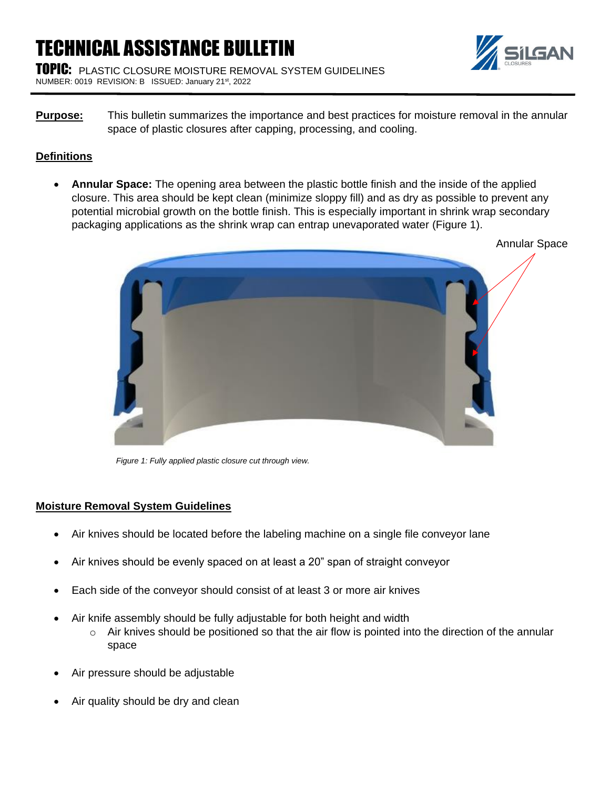## TECHNICAL ASSISTANCE BULLETIN

**TOPIC:** PLASTIC CLOSURE MOISTURE REMOVAL SYSTEM GUIDELINES NUMBER: 0019 REVISION: B ISSUED: January 21st, 2022

**Purpose:** This bulletin summarizes the importance and best practices for moisture removal in the annular space of plastic closures after capping, processing, and cooling.

### **Definitions**

• **Annular Space:** The opening area between the plastic bottle finish and the inside of the applied closure. This area should be kept clean (minimize sloppy fill) and as dry as possible to prevent any potential microbial growth on the bottle finish. This is especially important in shrink wrap secondary packaging applications as the shrink wrap can entrap unevaporated water (Figure 1).



*Figure 1: Fully applied plastic closure cut through view.*

### **Moisture Removal System Guidelines**

- Air knives should be located before the labeling machine on a single file conveyor lane
- Air knives should be evenly spaced on at least a 20" span of straight conveyor
- Each side of the conveyor should consist of at least 3 or more air knives
- Air knife assembly should be fully adjustable for both height and width
	- $\circ$  Air knives should be positioned so that the air flow is pointed into the direction of the annular space
- Air pressure should be adjustable
- Air quality should be dry and clean